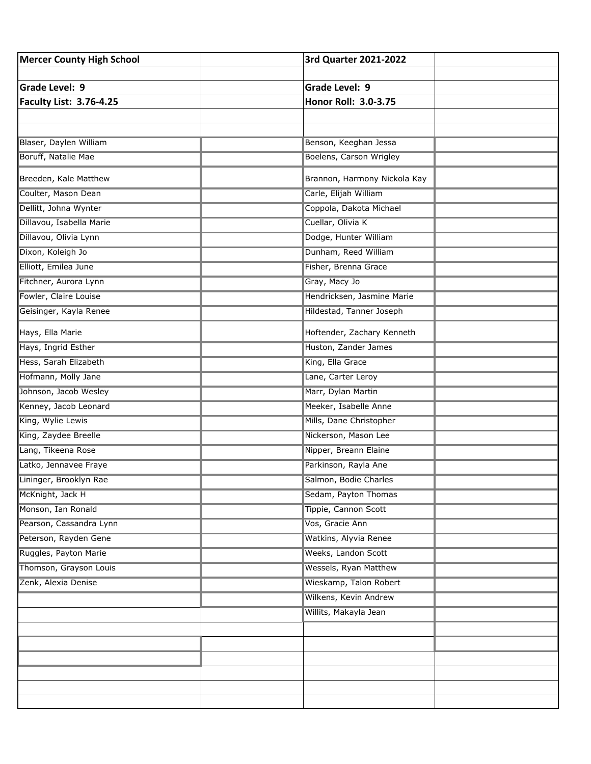| <b>Mercer County High School</b> | 3rd Quarter 2021-2022        |  |
|----------------------------------|------------------------------|--|
|                                  |                              |  |
| Grade Level: 9                   | Grade Level: 9               |  |
| <b>Faculty List: 3.76-4.25</b>   | Honor Roll: 3.0-3.75         |  |
|                                  |                              |  |
|                                  |                              |  |
| Blaser, Daylen William           | Benson, Keeghan Jessa        |  |
| Boruff, Natalie Mae              | Boelens, Carson Wrigley      |  |
| Breeden, Kale Matthew            | Brannon, Harmony Nickola Kay |  |
| Coulter, Mason Dean              | Carle, Elijah William        |  |
| Dellitt, Johna Wynter            | Coppola, Dakota Michael      |  |
| Dillavou, Isabella Marie         | Cuellar, Olivia K            |  |
| Dillavou, Olivia Lynn            | Dodge, Hunter William        |  |
| Dixon, Koleigh Jo                | Dunham, Reed William         |  |
| Elliott, Emilea June             | Fisher, Brenna Grace         |  |
| Fitchner, Aurora Lynn            | Gray, Macy Jo                |  |
| Fowler, Claire Louise            | Hendricksen, Jasmine Marie   |  |
| Geisinger, Kayla Renee           | Hildestad, Tanner Joseph     |  |
| Hays, Ella Marie                 | Hoftender, Zachary Kenneth   |  |
| Hays, Ingrid Esther              | Huston, Zander James         |  |
| Hess, Sarah Elizabeth            | King, Ella Grace             |  |
| Hofmann, Molly Jane              | Lane, Carter Leroy           |  |
| Johnson, Jacob Wesley            | Marr, Dylan Martin           |  |
| Kenney, Jacob Leonard            | Meeker, Isabelle Anne        |  |
| King, Wylie Lewis                | Mills, Dane Christopher      |  |
| King, Zaydee Breelle             | Nickerson, Mason Lee         |  |
| Lang, Tikeena Rose               | Nipper, Breann Elaine        |  |
| Latko, Jennavee Fraye            | Parkinson, Rayla Ane         |  |
| Lininger, Brooklyn Rae           | Salmon, Bodie Charles        |  |
| McKnight, Jack H                 | Sedam, Payton Thomas         |  |
| Monson, Ian Ronald               | Tippie, Cannon Scott         |  |
| Pearson, Cassandra Lynn          | Vos, Gracie Ann              |  |
| Peterson, Rayden Gene            | Watkins, Alyvia Renee        |  |
| Ruggles, Payton Marie            | Weeks, Landon Scott          |  |
| Thomson, Grayson Louis           | <b>Wessels, Ryan Matthew</b> |  |
| Zenk, Alexia Denise              | Wieskamp, Talon Robert       |  |
|                                  | Wilkens, Kevin Andrew        |  |
|                                  | Willits, Makayla Jean        |  |
|                                  |                              |  |
|                                  |                              |  |
|                                  |                              |  |
|                                  |                              |  |
|                                  |                              |  |
|                                  |                              |  |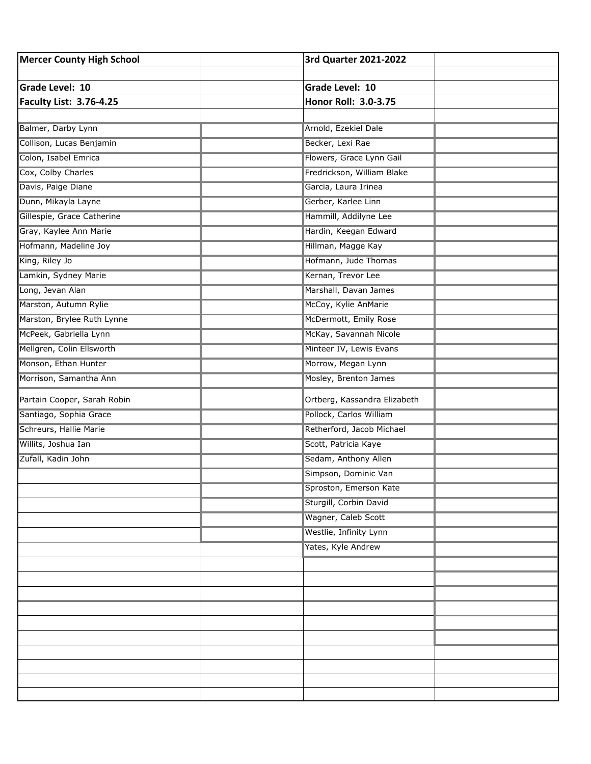| Mercer County High School      | 3rd Quarter 2021-2022        |  |
|--------------------------------|------------------------------|--|
|                                |                              |  |
| <b>Grade Level: 10</b>         | Grade Level: 10              |  |
| <b>Faculty List: 3.76-4.25</b> | Honor Roll: 3.0-3.75         |  |
|                                |                              |  |
| Balmer, Darby Lynn             | Arnold, Ezekiel Dale         |  |
| Collison, Lucas Benjamin       | Becker, Lexi Rae             |  |
| Colon, Isabel Emrica           | Flowers, Grace Lynn Gail     |  |
| Cox, Colby Charles             | Fredrickson, William Blake   |  |
| Davis, Paige Diane             | Garcia, Laura Irinea         |  |
| Dunn, Mikayla Layne            | Gerber, Karlee Linn          |  |
| Gillespie, Grace Catherine     | Hammill, Addilyne Lee        |  |
| Gray, Kaylee Ann Marie         | Hardin, Keegan Edward        |  |
| Hofmann, Madeline Joy          | Hillman, Magge Kay           |  |
| King, Riley Jo                 | Hofmann, Jude Thomas         |  |
| Lamkin, Sydney Marie           | Kernan, Trevor Lee           |  |
| Long, Jevan Alan               | Marshall, Davan James        |  |
| Marston, Autumn Rylie          | McCoy, Kylie AnMarie         |  |
| Marston, Brylee Ruth Lynne     | McDermott, Emily Rose        |  |
| McPeek, Gabriella Lynn         | McKay, Savannah Nicole       |  |
| Mellgren, Colin Ellsworth      | Minteer IV, Lewis Evans      |  |
| Monson, Ethan Hunter           | Morrow, Megan Lynn           |  |
| Morrison, Samantha Ann         | Mosley, Brenton James        |  |
| Partain Cooper, Sarah Robin    | Ortberg, Kassandra Elizabeth |  |
| Santiago, Sophia Grace         | Pollock, Carlos William      |  |
| Schreurs, Hallie Marie         | Retherford, Jacob Michael    |  |
| Willits, Joshua Ian            | Scott, Patricia Kaye         |  |
| Zufall, Kadin John             | Sedam, Anthony Allen         |  |
|                                | Simpson, Dominic Van         |  |
|                                | Sproston, Emerson Kate       |  |
|                                | Sturgill, Corbin David       |  |
|                                | Wagner, Caleb Scott          |  |
|                                | Westlie, Infinity Lynn       |  |
|                                | Yates, Kyle Andrew           |  |
|                                |                              |  |
|                                |                              |  |
|                                |                              |  |
|                                |                              |  |
|                                |                              |  |
|                                |                              |  |
|                                |                              |  |
|                                |                              |  |
|                                |                              |  |
|                                |                              |  |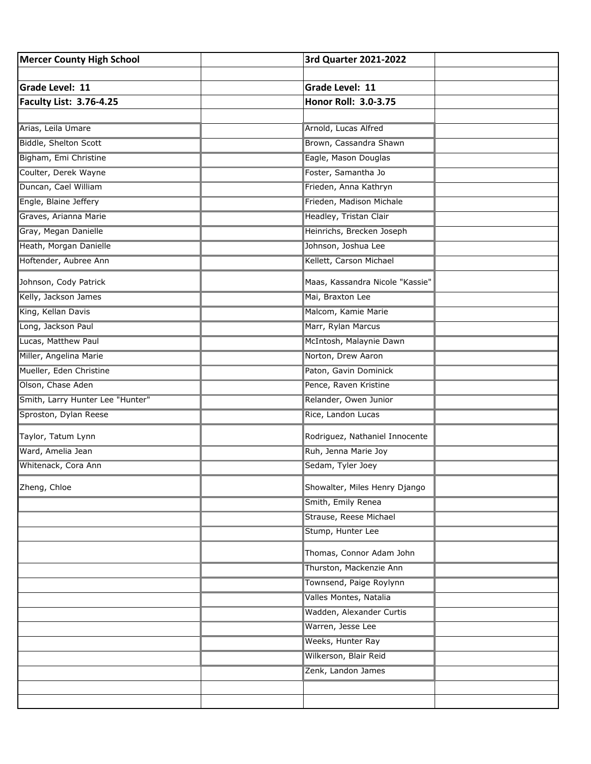| <b>Mercer County High School</b> | 3rd Quarter 2021-2022           |  |
|----------------------------------|---------------------------------|--|
|                                  |                                 |  |
| <b>Grade Level: 11</b>           | <b>Grade Level: 11</b>          |  |
| <b>Faculty List: 3.76-4.25</b>   | Honor Roll: 3.0-3.75            |  |
|                                  |                                 |  |
| Arias, Leila Umare               | Arnold, Lucas Alfred            |  |
| Biddle, Shelton Scott            | Brown, Cassandra Shawn          |  |
| Bigham, Emi Christine            | Eagle, Mason Douglas            |  |
| Coulter, Derek Wayne             | Foster, Samantha Jo             |  |
| Duncan, Cael William             | Frieden, Anna Kathryn           |  |
| Engle, Blaine Jeffery            | Frieden, Madison Michale        |  |
| Graves, Arianna Marie            | Headley, Tristan Clair          |  |
| Gray, Megan Danielle             | Heinrichs, Brecken Joseph       |  |
| Heath, Morgan Danielle           | Johnson, Joshua Lee             |  |
| Hoftender, Aubree Ann            | Kellett, Carson Michael         |  |
| Johnson, Cody Patrick            | Maas, Kassandra Nicole "Kassie" |  |
| Kelly, Jackson James             | Mai, Braxton Lee                |  |
| King, Kellan Davis               | Malcom, Kamie Marie             |  |
| Long, Jackson Paul               | Marr, Rylan Marcus              |  |
| Lucas, Matthew Paul              | McIntosh, Malaynie Dawn         |  |
| Miller, Angelina Marie           | Norton, Drew Aaron              |  |
| Mueller, Eden Christine          | Paton, Gavin Dominick           |  |
| Olson, Chase Aden                | Pence, Raven Kristine           |  |
| Smith, Larry Hunter Lee "Hunter" | Relander, Owen Junior           |  |
| Sproston, Dylan Reese            | Rice, Landon Lucas              |  |
| Taylor, Tatum Lynn               | Rodriguez, Nathaniel Innocente  |  |
| Ward, Amelia Jean                | Ruh, Jenna Marie Joy            |  |
| Whitenack, Cora Ann              | Sedam, Tyler Joey               |  |
| Zheng, Chloe                     | Showalter, Miles Henry Django   |  |
|                                  | Smith, Emily Renea              |  |
|                                  | Strause, Reese Michael          |  |
|                                  | Stump, Hunter Lee               |  |
|                                  | Thomas, Connor Adam John        |  |
|                                  | Thurston, Mackenzie Ann         |  |
|                                  | Townsend, Paige Roylynn         |  |
|                                  | Valles Montes, Natalia          |  |
|                                  | Wadden, Alexander Curtis        |  |
|                                  | Warren, Jesse Lee               |  |
|                                  | Weeks, Hunter Ray               |  |
|                                  | Wilkerson, Blair Reid           |  |
|                                  | Zenk, Landon James              |  |
|                                  |                                 |  |
|                                  |                                 |  |